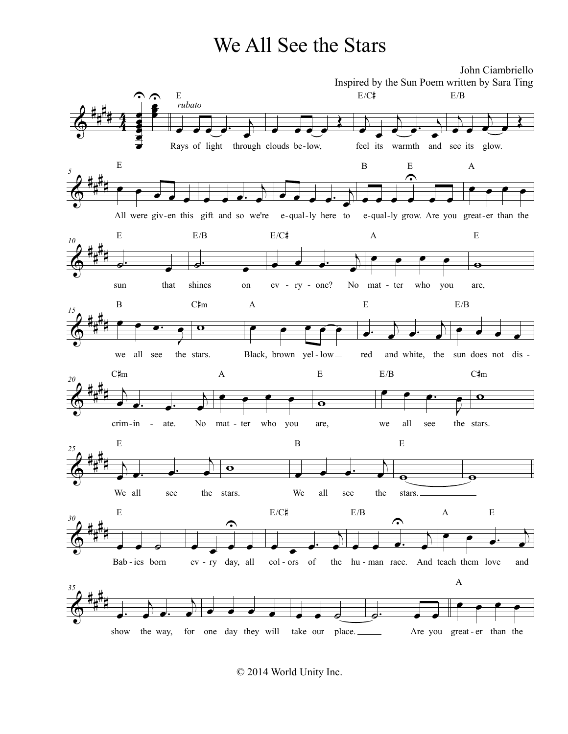## We All See the Stars



© 2014 World Unity Inc.